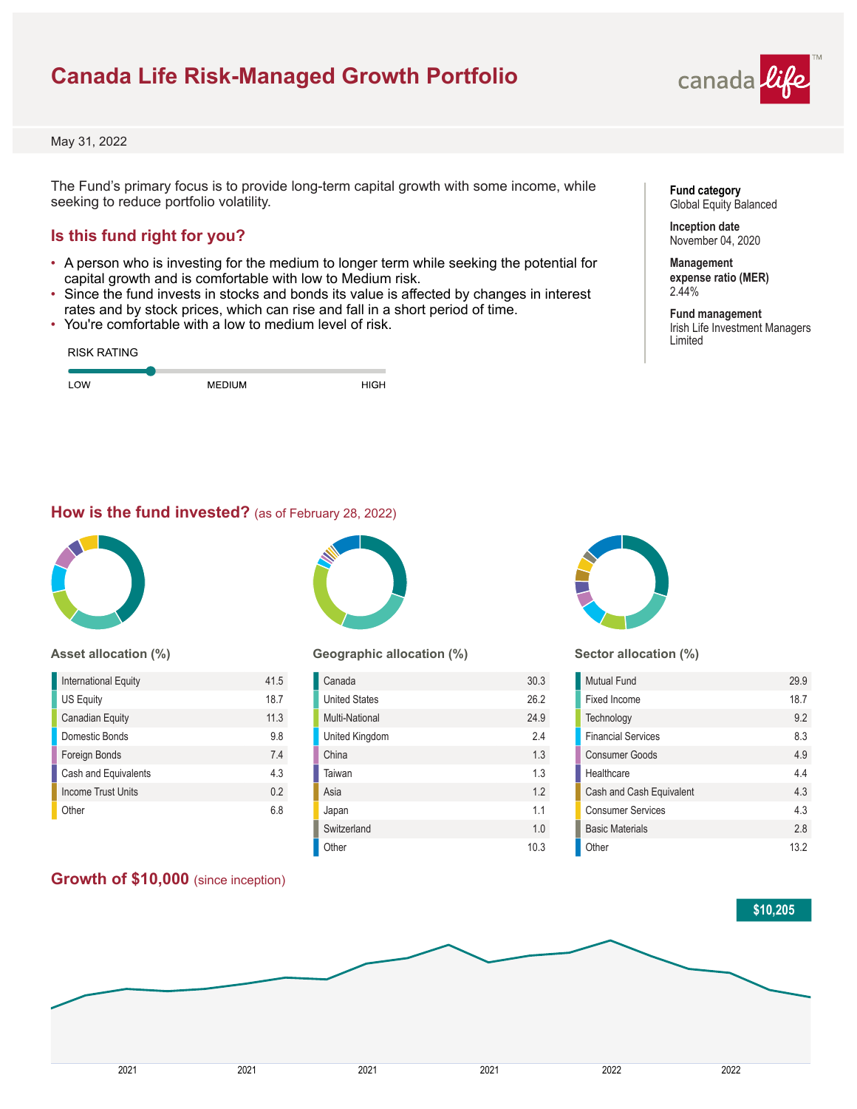# **Canada Life Risk-Managed Growth Portfolio**



May 31, 2022

The Fund's primary focus is to provide long-term capital growth with some income, while seeking to reduce portfolio volatility.

## **Is this fund right for you?**

- A person who is investing for the medium to longer term while seeking the potential for capital growth and is comfortable with low to Medium risk.
- Since the fund invests in stocks and bonds its value is affected by changes in interest rates and by stock prices, which can rise and fall in a short period of time.
- You're comfortable with a low to medium level of risk.

| <b>RISK RATING</b> |               |      |
|--------------------|---------------|------|
| LOW                | <b>MEDIUM</b> | HIGH |

### **Fund category** Global Equity Balanced

**Inception date** November 04, 2020

**Management expense ratio (MER)** 2.44%

**Fund management** Irish Life Investment Managers Limited

### **How is the fund invested?** (as of February 28, 2022)



### **Asset allocation (%)**

| International Equity      | 41.5 |
|---------------------------|------|
| <b>US Equity</b>          | 18.7 |
| <b>Canadian Equity</b>    | 11.3 |
| Domestic Bonds            | 9.8  |
| Foreign Bonds             | 74   |
| Cash and Equivalents      | 4.3  |
| <b>Income Trust Units</b> | 0.2  |
| Other                     | 68   |
|                           |      |

## **Growth of \$10,000** (since inception)



### **Geographic allocation (%)**

| Canada               | 30.3 |
|----------------------|------|
| <b>United States</b> | 26.2 |
| Multi-National       | 24.9 |
| United Kingdom       | 2.4  |
| China                | 1.3  |
| Taiwan               | 1.3  |
| Asia                 | 1.2  |
| Japan                | 11   |
| Switzerland          | 1.0  |
| Other                | 10.3 |



### **Sector allocation (%)**

| Mutual Fund               | 29.9 |
|---------------------------|------|
| Fixed Income              | 18.7 |
| Technology                | 92   |
| <b>Financial Services</b> | 83   |
| <b>Consumer Goods</b>     | 49   |
| Healthcare                | 44   |
| Cash and Cash Equivalent  | 43   |
| <b>Consumer Services</b>  | 43   |
| <b>Basic Materials</b>    | 28   |
| Other                     | 13 2 |